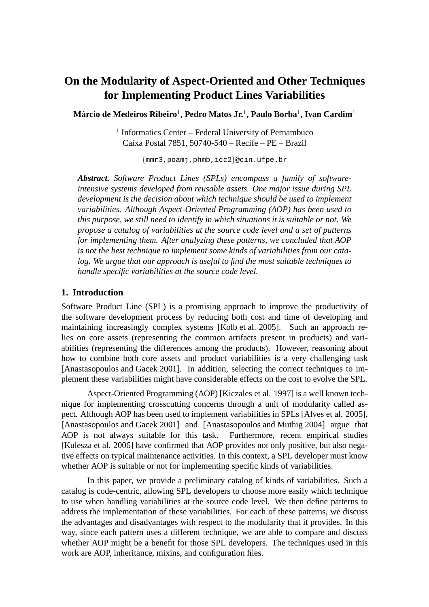# **On the Modularity of Aspect-Oriented and Other Techniques for Implementing Product Lines Variabilities**

 $\mathbf{M}$ árcio de Medeiros Ribeiro $^1$ , Pedro Matos Jr. $^1$ , Paulo Borba $^1$ , Ivan Cardim $^1$ 

<sup>1</sup> Informatics Center – Federal University of Pernambuco Caixa Postal 7851, 50740-540 – Recife – PE – Brazil

{mmr3,poamj,phmb,icc2}@cin.ufpe.br

*Abstract. Software Product Lines (SPLs) encompass a family of softwareintensive systems developed from reusable assets. One major issue during SPL development is the decision about which technique should be used to implement variabilities. Although Aspect-Oriented Programming (AOP) has been used to this purpose, we still need to identify in which situations it is suitable or not. We propose a catalog of variabilities at the source code level and a set of patterns for implementing them. After analyzing these patterns, we concluded that AOP is not the best technique to implement some kinds of variabilities from our catalog. We argue that our approach is useful to find the most suitable techniques to handle specific variabilities at the source code level.*

## **1. Introduction**

Software Product Line (SPL) is a promising approach to improve the productivity of the software development process by reducing both cost and time of developing and maintaining increasingly complex systems [Kolb et al. 2005]. Such an approach relies on core assets (representing the common artifacts present in products) and variabilities (representing the differences among the products). However, reasoning about how to combine both core assets and product variabilities is a very challenging task [Anastasopoulos and Gacek 2001]. In addition, selecting the correct techniques to implement these variabilities might have considerable effects on the cost to evolve the SPL.

Aspect-Oriented Programming (AOP) [Kiczales et al. 1997] is a well known technique for implementing crosscutting concerns through a unit of modularity called aspect. Although AOP has been used to implement variabilities in SPLs [Alves et al. 2005], [Anastasopoulos and Gacek 2001] and [Anastasopoulos and Muthig 2004] argue that AOP is not always suitable for this task. Furthermore, recent empirical studies [Kulesza et al. 2006] have confirmed that AOP provides not only positive, but also negative effects on typical maintenance activities. In this context, a SPL developer must know whether AOP is suitable or not for implementing specific kinds of variabilities.

In this paper, we provide a preliminary catalog of kinds of variabilities. Such a catalog is code-centric, allowing SPL developers to choose more easily which technique to use when handling variabilities at the source code level. We then define patterns to address the implementation of these variabilities. For each of these patterns, we discuss the advantages and disadvantages with respect to the modularity that it provides. In this way, since each pattern uses a different technique, we are able to compare and discuss whether AOP might be a benefit for those SPL developers. The techniques used in this work are AOP, inheritance, mixins, and configuration files.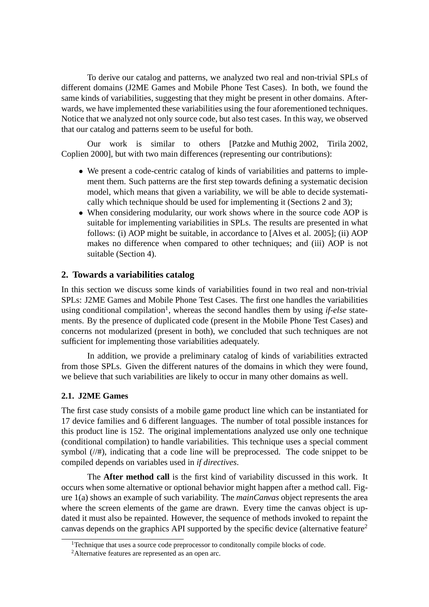To derive our catalog and patterns, we analyzed two real and non-trivial SPLs of different domains (J2ME Games and Mobile Phone Test Cases). In both, we found the same kinds of variabilities, suggesting that they might be present in other domains. Afterwards, we have implemented these variabilities using the four aforementioned techniques. Notice that we analyzed not only source code, but also test cases. In this way, we observed that our catalog and patterns seem to be useful for both.

Our work is similar to others [Patzke and Muthig 2002, Tirila 2002, Coplien 2000], but with two main differences (representing our contributions):

- We present a code-centric catalog of kinds of variabilities and patterns to implement them. Such patterns are the first step towards defining a systematic decision model, which means that given a variability, we will be able to decide systematically which technique should be used for implementing it (Sections 2 and 3);
- When considering modularity, our work shows where in the source code AOP is suitable for implementing variabilities in SPLs. The results are presented in what follows: (i) AOP might be suitable, in accordance to [Alves et al. 2005]; (ii) AOP makes no difference when compared to other techniques; and (iii) AOP is not suitable (Section 4).

## **2. Towards a variabilities catalog**

In this section we discuss some kinds of variabilities found in two real and non-trivial SPLs: J2ME Games and Mobile Phone Test Cases. The first one handles the variabilities using conditional compilation<sup>1</sup>, whereas the second handles them by using *if-else* statements. By the presence of duplicated code (present in the Mobile Phone Test Cases) and concerns not modularized (present in both), we concluded that such techniques are not sufficient for implementing those variabilities adequately.

In addition, we provide a preliminary catalog of kinds of variabilities extracted from those SPLs. Given the different natures of the domains in which they were found, we believe that such variabilities are likely to occur in many other domains as well.

## **2.1. J2ME Games**

The first case study consists of a mobile game product line which can be instantiated for 17 device families and 6 different languages. The number of total possible instances for this product line is 152. The original implementations analyzed use only one technique (conditional compilation) to handle variabilities. This technique uses a special comment symbol (//#), indicating that a code line will be preprocessed. The code snippet to be compiled depends on variables used in *if directives*.

The **After method call** is the first kind of variability discussed in this work. It occurs when some alternative or optional behavior might happen after a method call. Figure 1(a) shows an example of such variability. The *mainCanvas* object represents the area where the screen elements of the game are drawn. Every time the canvas object is updated it must also be repainted. However, the sequence of methods invoked to repaint the canvas depends on the graphics API supported by the specific device (alternative feature<sup>2</sup>

<sup>&</sup>lt;sup>1</sup>Technique that uses a source code preprocessor to conditonally compile blocks of code.

<sup>&</sup>lt;sup>2</sup>Alternative features are represented as an open arc.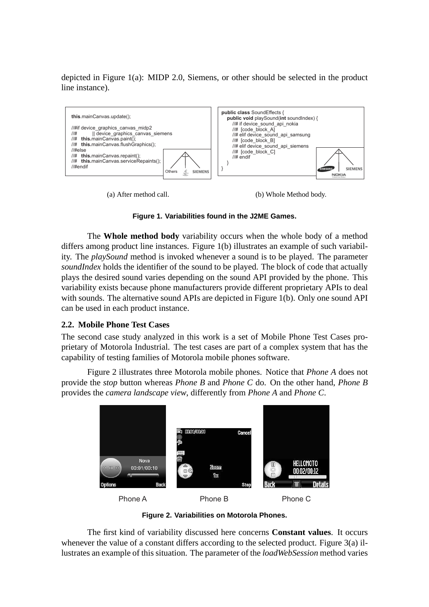depicted in Figure 1(a): MIDP 2.0, Siemens, or other should be selected in the product line instance).



(a) After method call.

(b) Whole Method body.

**Figure 1. Variabilities found in the J2ME Games.**

The **Whole method body** variability occurs when the whole body of a method differs among product line instances. Figure 1(b) illustrates an example of such variability. The *playSound* method is invoked whenever a sound is to be played. The parameter *soundIndex* holds the identifier of the sound to be played. The block of code that actually plays the desired sound varies depending on the sound API provided by the phone. This variability exists because phone manufacturers provide different proprietary APIs to deal with sounds. The alternative sound APIs are depicted in Figure 1(b). Only one sound API can be used in each product instance.

## **2.2. Mobile Phone Test Cases**

The second case study analyzed in this work is a set of Mobile Phone Test Cases proprietary of Motorola Industrial. The test cases are part of a complex system that has the capability of testing families of Motorola mobile phones software.

Figure 2 illustrates three Motorola mobile phones. Notice that *Phone A* does not provide the *stop* button whereas *Phone B* and *Phone C* do. On the other hand, *Phone B* provides the *camera landscape view*, differently from *Phone A* and *Phone C*.



**Figure 2. Variabilities on Motorola Phones.**

The first kind of variability discussed here concerns **Constant values**. It occurs whenever the value of a constant differs according to the selected product. Figure 3(a) illustrates an example of this situation. The parameter of the *loadWebSession* method varies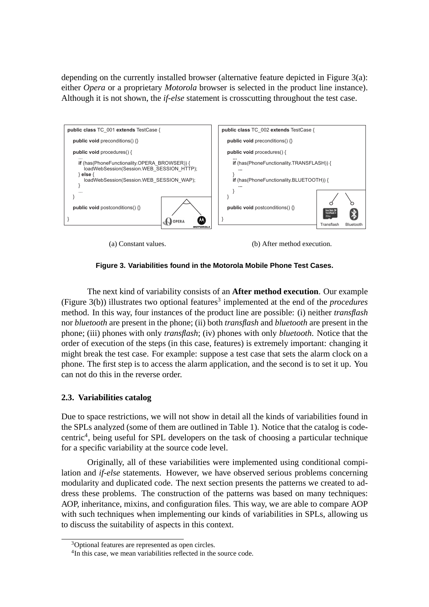depending on the currently installed browser (alternative feature depicted in Figure  $3(a)$ : either *Opera* or a proprietary *Motorola* browser is selected in the product line instance). Although it is not shown, the *if-else* statement is crosscutting throughout the test case.



(a) Constant values.

(b) After method execution.

**Figure 3. Variabilities found in the Motorola Mobile Phone Test Cases.**

The next kind of variability consists of an **After method execution**. Our example (Figure 3(b)) illustrates two optional features<sup>3</sup> implemented at the end of the *procedures* method. In this way, four instances of the product line are possible: (i) neither *transflash* nor *bluetooth* are present in the phone; (ii) both *transflash* and *bluetooth* are present in the phone; (iii) phones with only *transflash*; (iv) phones with only *bluetooth*. Notice that the order of execution of the steps (in this case, features) is extremely important: changing it might break the test case. For example: suppose a test case that sets the alarm clock on a phone. The first step is to access the alarm application, and the second is to set it up. You can not do this in the reverse order.

# **2.3. Variabilities catalog**

Due to space restrictions, we will not show in detail all the kinds of variabilities found in the SPLs analyzed (some of them are outlined in Table 1). Notice that the catalog is codecentric<sup>4</sup>, being useful for SPL developers on the task of choosing a particular technique for a specific variability at the source code level.

Originally, all of these variabilities were implemented using conditional compilation and *if-else* statements. However, we have observed serious problems concerning modularity and duplicated code. The next section presents the patterns we created to address these problems. The construction of the patterns was based on many techniques: AOP, inheritance, mixins, and configuration files. This way, we are able to compare AOP with such techniques when implementing our kinds of variabilities in SPLs, allowing us to discuss the suitability of aspects in this context.

<sup>3</sup>Optional features are represented as open circles.

<sup>&</sup>lt;sup>4</sup>In this case, we mean variabilities reflected in the source code.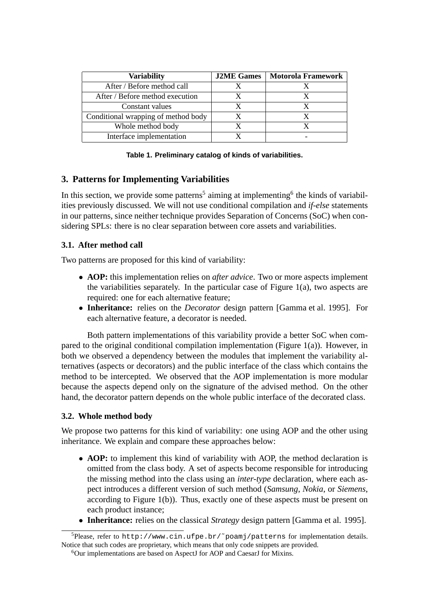| <b>Variability</b>                  | <b>J2ME Games</b> | Motorola Framework |
|-------------------------------------|-------------------|--------------------|
| After / Before method call          |                   |                    |
| After / Before method execution     |                   |                    |
| Constant values                     | x                 |                    |
| Conditional wrapping of method body |                   |                    |
| Whole method body                   | X                 |                    |
| Interface implementation            |                   |                    |

**Table 1. Preliminary catalog of kinds of variabilities.**

# **3. Patterns for Implementing Variabilities**

In this section, we provide some patterns<sup>5</sup> aiming at implementing<sup>6</sup> the kinds of variabilities previously discussed. We will not use conditional compilation and *if-else* statements in our patterns, since neither technique provides Separation of Concerns (SoC) when considering SPLs: there is no clear separation between core assets and variabilities.

# **3.1. After method call**

Two patterns are proposed for this kind of variability:

- **AOP:** this implementation relies on *after advice*. Two or more aspects implement the variabilities separately. In the particular case of Figure  $1(a)$ , two aspects are required: one for each alternative feature;
- **Inheritance:** relies on the *Decorator* design pattern [Gamma et al. 1995]. For each alternative feature, a decorator is needed.

Both pattern implementations of this variability provide a better SoC when compared to the original conditional compilation implementation (Figure 1(a)). However, in both we observed a dependency between the modules that implement the variability alternatives (aspects or decorators) and the public interface of the class which contains the method to be intercepted. We observed that the AOP implementation is more modular because the aspects depend only on the signature of the advised method. On the other hand, the decorator pattern depends on the whole public interface of the decorated class.

# **3.2. Whole method body**

We propose two patterns for this kind of variability: one using AOP and the other using inheritance. We explain and compare these approaches below:

- **AOP:** to implement this kind of variability with AOP, the method declaration is omitted from the class body. A set of aspects become responsible for introducing the missing method into the class using an *inter-type* declaration, where each aspect introduces a different version of such method (*Samsung*, *Nokia*, or *Siemens*, according to Figure 1(b)). Thus, exactly one of these aspects must be present on each product instance;
- **Inheritance:** relies on the classical *Strategy* design pattern [Gamma et al. 1995].

 $5P$ lease, refer to http://www.cin.ufpe.br/~poamj/patterns for implementation details. Notice that such codes are proprietary, which means that only code snippets are provided.

<sup>6</sup>Our implementations are based on AspectJ for AOP and CaesarJ for Mixins.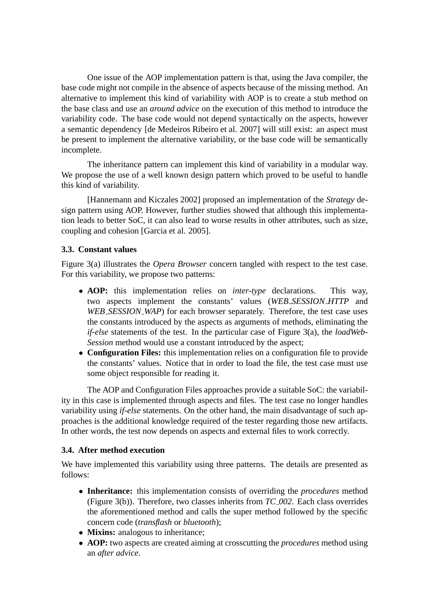One issue of the AOP implementation pattern is that, using the Java compiler, the base code might not compile in the absence of aspects because of the missing method. An alternative to implement this kind of variability with AOP is to create a stub method on the base class and use an *around advice* on the execution of this method to introduce the variability code. The base code would not depend syntactically on the aspects, however a semantic dependency [de Medeiros Ribeiro et al. 2007] will still exist: an aspect must be present to implement the alternative variability, or the base code will be semantically incomplete.

The inheritance pattern can implement this kind of variability in a modular way. We propose the use of a well known design pattern which proved to be useful to handle this kind of variability.

[Hannemann and Kiczales 2002] proposed an implementation of the *Strategy* design pattern using AOP. However, further studies showed that although this implementation leads to better SoC, it can also lead to worse results in other attributes, such as size, coupling and cohesion [Garcia et al. 2005].

#### **3.3. Constant values**

Figure 3(a) illustrates the *Opera Browser* concern tangled with respect to the test case. For this variability, we propose two patterns:

- **AOP:** this implementation relies on *inter-type* declarations. This way, two aspects implement the constants' values (*WEB SESSION HTTP* and *WEB\_SESSION\_WAP*) for each browser separately. Therefore, the test case uses the constants introduced by the aspects as arguments of methods, eliminating the *if-else* statements of the test. In the particular case of Figure 3(a), the *loadWeb-Session* method would use a constant introduced by the aspect;
- **Configuration Files:** this implementation relies on a configuration file to provide the constants' values. Notice that in order to load the file, the test case must use some object responsible for reading it.

The AOP and Configuration Files approaches provide a suitable SoC: the variability in this case is implemented through aspects and files. The test case no longer handles variability using *if-else* statements. On the other hand, the main disadvantage of such approaches is the additional knowledge required of the tester regarding those new artifacts. In other words, the test now depends on aspects and external files to work correctly.

#### **3.4. After method execution**

We have implemented this variability using three patterns. The details are presented as follows:

- **Inheritance:** this implementation consists of overriding the *procedures* method (Figure 3(b)). Therefore, two classes inherits from *TC 002*. Each class overrides the aforementioned method and calls the super method followed by the specific concern code (*transflash* or *bluetooth*);
- **Mixins:** analogous to inheritance;
- **AOP:** two aspects are created aiming at crosscutting the *procedures* method using an *after advice*.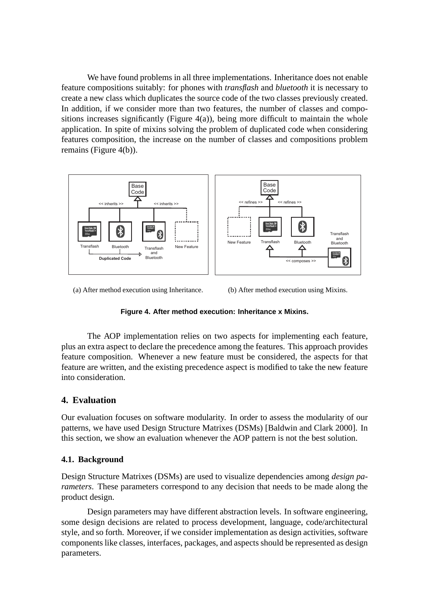We have found problems in all three implementations. Inheritance does not enable feature compositions suitably: for phones with *transflash* and *bluetooth* it is necessary to create a new class which duplicates the source code of the two classes previously created. In addition, if we consider more than two features, the number of classes and compositions increases significantly (Figure  $4(a)$ ), being more difficult to maintain the whole application. In spite of mixins solving the problem of duplicated code when considering features composition, the increase on the number of classes and compositions problem remains (Figure 4(b)).



(a) After method execution using Inheritance.

(b) After method execution using Mixins.

#### **Figure 4. After method execution: Inheritance x Mixins.**

The AOP implementation relies on two aspects for implementing each feature, plus an extra aspect to declare the precedence among the features. This approach provides feature composition. Whenever a new feature must be considered, the aspects for that feature are written, and the existing precedence aspect is modified to take the new feature into consideration.

## **4. Evaluation**

Our evaluation focuses on software modularity. In order to assess the modularity of our patterns, we have used Design Structure Matrixes (DSMs) [Baldwin and Clark 2000]. In this section, we show an evaluation whenever the AOP pattern is not the best solution.

#### **4.1. Background**

Design Structure Matrixes (DSMs) are used to visualize dependencies among *design parameters*. These parameters correspond to any decision that needs to be made along the product design.

Design parameters may have different abstraction levels. In software engineering, some design decisions are related to process development, language, code/architectural style, and so forth. Moreover, if we consider implementation as design activities, software components like classes, interfaces, packages, and aspects should be represented as design parameters.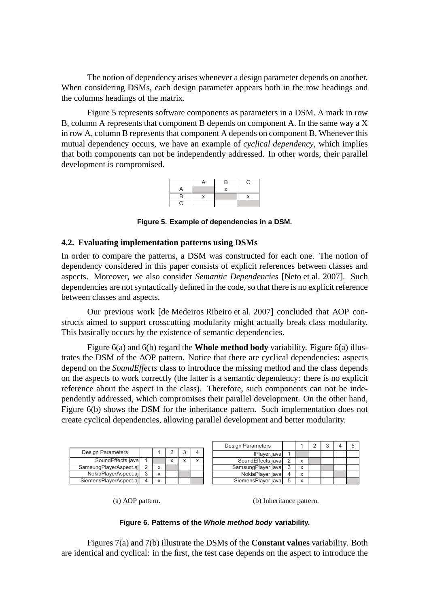The notion of dependency arises whenever a design parameter depends on another. When considering DSMs, each design parameter appears both in the row headings and the columns headings of the matrix.

Figure 5 represents software components as parameters in a DSM. A mark in row B, column A represents that component B depends on component A. In the same way a X in row A, column B represents that component A depends on component B. Whenever this mutual dependency occurs, we have an example of *cyclical dependency*, which implies that both components can not be independently addressed. In other words, their parallel development is compromised.



**Figure 5. Example of dependencies in a DSM.**

## **4.2. Evaluating implementation patterns using DSMs**

In order to compare the patterns, a DSM was constructed for each one. The notion of dependency considered in this paper consists of explicit references between classes and aspects. Moreover, we also consider *Semantic Dependencies* [Neto et al. 2007]. Such dependencies are not syntactically defined in the code, so that there is no explicit reference between classes and aspects.

Our previous work [de Medeiros Ribeiro et al. 2007] concluded that AOP constructs aimed to support crosscutting modularity might actually break class modularity. This basically occurs by the existence of semantic dependencies.

Figure 6(a) and 6(b) regard the **Whole method body** variability. Figure 6(a) illustrates the DSM of the AOP pattern. Notice that there are cyclical dependencies: aspects depend on the *SoundEffects* class to introduce the missing method and the class depends on the aspects to work correctly (the latter is a semantic dependency: there is no explicit reference about the aspect in the class). Therefore, such components can not be independently addressed, which compromises their parallel development. On the other hand, Figure 6(b) shows the DSM for the inheritance pattern. Such implementation does not create cyclical dependencies, allowing parallel development and better modularity.

|  |                          |  |              |              |  | <b>Design Parameters</b> |                    |              | 5 |  |
|--|--------------------------|--|--------------|--------------|--|--------------------------|--------------------|--------------|---|--|
|  | <b>Design Parameters</b> |  |              |              |  |                          | IPlayer.java       |              |   |  |
|  | SoundEffects.java        |  |              | $\checkmark$ |  | $\checkmark$             | SoundEffects.java  | $\checkmark$ |   |  |
|  | SamsungPlayerAspect.aj   |  | $\checkmark$ |              |  |                          | SamsungPlayer.java | $\checkmark$ |   |  |
|  | NokiaPlayerAspect.aj     |  | $\checkmark$ |              |  |                          | NokiaPlayer.java   | $\checkmark$ |   |  |
|  | SiemensPlayerAspect.aj   |  | $\checkmark$ |              |  |                          | SiemensPlayer.java | $\checkmark$ |   |  |

(a) AOP pattern.

(b) Inheritance pattern.

#### **Figure 6. Patterns of the Whole method body variability.**

Figures 7(a) and 7(b) illustrate the DSMs of the **Constant values** variability. Both are identical and cyclical: in the first, the test case depends on the aspect to introduce the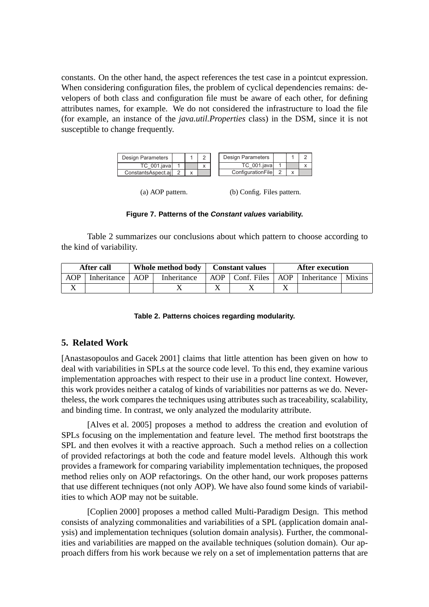constants. On the other hand, the aspect references the test case in a pointcut expression. When considering configuration files, the problem of cyclical dependencies remains: developers of both class and configuration file must be aware of each other, for defining attributes names, for example. We do not considered the infrastructure to load the file (for example, an instance of the *java.util.Properties* class) in the DSM, since it is not susceptible to change frequently.



(a) AOP pattern. (b) Config. Files pattern.

#### **Figure 7. Patterns of the Constant values variability.**

Table 2 summarizes our conclusions about which pattern to choose according to the kind of variability.

|     | After call  |            | Whole method body | <b>Constant values</b> | <b>After execution</b> |                               |        |  |
|-----|-------------|------------|-------------------|------------------------|------------------------|-------------------------------|--------|--|
| AOP | Inheritance | <b>AOP</b> | Inheritance       | $AOP$   Conf. Files    |                        | $\mid$ AOP $\mid$ Inheritance | Mixins |  |
|     |             |            |                   |                        |                        |                               |        |  |

#### **Table 2. Patterns choices regarding modularity.**

# **5. Related Work**

[Anastasopoulos and Gacek 2001] claims that little attention has been given on how to deal with variabilities in SPLs at the source code level. To this end, they examine various implementation approaches with respect to their use in a product line context. However, this work provides neither a catalog of kinds of variabilities nor patterns as we do. Nevertheless, the work compares the techniques using attributes such as traceability, scalability, and binding time. In contrast, we only analyzed the modularity attribute.

[Alves et al. 2005] proposes a method to address the creation and evolution of SPLs focusing on the implementation and feature level. The method first bootstraps the SPL and then evolves it with a reactive approach. Such a method relies on a collection of provided refactorings at both the code and feature model levels. Although this work provides a framework for comparing variability implementation techniques, the proposed method relies only on AOP refactorings. On the other hand, our work proposes patterns that use different techniques (not only AOP). We have also found some kinds of variabilities to which AOP may not be suitable.

[Coplien 2000] proposes a method called Multi-Paradigm Design. This method consists of analyzing commonalities and variabilities of a SPL (application domain analysis) and implementation techniques (solution domain analysis). Further, the commonalities and variabilities are mapped on the available techniques (solution domain). Our approach differs from his work because we rely on a set of implementation patterns that are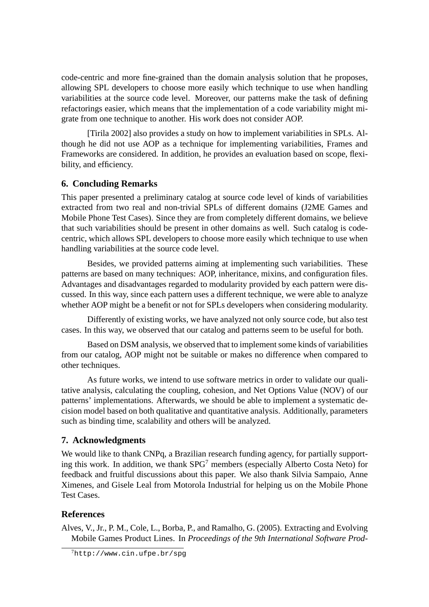code-centric and more fine-grained than the domain analysis solution that he proposes, allowing SPL developers to choose more easily which technique to use when handling variabilities at the source code level. Moreover, our patterns make the task of defining refactorings easier, which means that the implementation of a code variability might migrate from one technique to another. His work does not consider AOP.

[Tirila 2002] also provides a study on how to implement variabilities in SPLs. Although he did not use AOP as a technique for implementing variabilities, Frames and Frameworks are considered. In addition, he provides an evaluation based on scope, flexibility, and efficiency.

## **6. Concluding Remarks**

This paper presented a preliminary catalog at source code level of kinds of variabilities extracted from two real and non-trivial SPLs of different domains (J2ME Games and Mobile Phone Test Cases). Since they are from completely different domains, we believe that such variabilities should be present in other domains as well. Such catalog is codecentric, which allows SPL developers to choose more easily which technique to use when handling variabilities at the source code level.

Besides, we provided patterns aiming at implementing such variabilities. These patterns are based on many techniques: AOP, inheritance, mixins, and configuration files. Advantages and disadvantages regarded to modularity provided by each pattern were discussed. In this way, since each pattern uses a different technique, we were able to analyze whether AOP might be a benefit or not for SPLs developers when considering modularity.

Differently of existing works, we have analyzed not only source code, but also test cases. In this way, we observed that our catalog and patterns seem to be useful for both.

Based on DSM analysis, we observed that to implement some kinds of variabilities from our catalog, AOP might not be suitable or makes no difference when compared to other techniques.

As future works, we intend to use software metrics in order to validate our qualitative analysis, calculating the coupling, cohesion, and Net Options Value (NOV) of our patterns' implementations. Afterwards, we should be able to implement a systematic decision model based on both qualitative and quantitative analysis. Additionally, parameters such as binding time, scalability and others will be analyzed.

## **7. Acknowledgments**

We would like to thank CNPq, a Brazilian research funding agency, for partially supporting this work. In addition, we thank  $SPG<sup>7</sup>$  members (especially Alberto Costa Neto) for feedback and fruitful discussions about this paper. We also thank Silvia Sampaio, Anne Ximenes, and Gisele Leal from Motorola Industrial for helping us on the Mobile Phone Test Cases.

## **References**

Alves, V., Jr., P. M., Cole, L., Borba, P., and Ramalho, G. (2005). Extracting and Evolving Mobile Games Product Lines. In *Proceedings of the 9th International Software Prod-*

<sup>7</sup>http://www.cin.ufpe.br/spg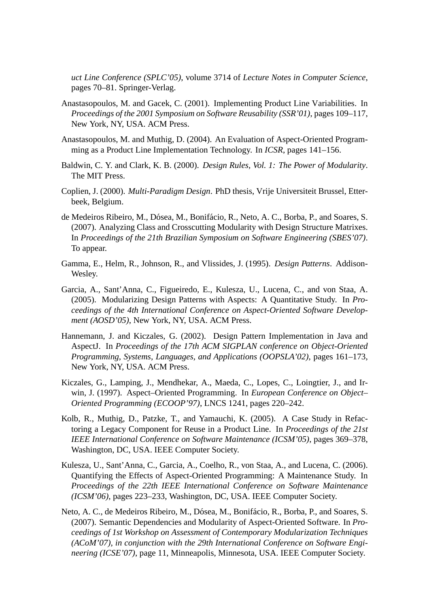*uct Line Conference (SPLC'05)*, volume 3714 of *Lecture Notes in Computer Science*, pages 70–81. Springer-Verlag.

- Anastasopoulos, M. and Gacek, C. (2001). Implementing Product Line Variabilities. In *Proceedings of the 2001 Symposium on Software Reusability (SSR'01)*, pages 109–117, New York, NY, USA. ACM Press.
- Anastasopoulos, M. and Muthig, D. (2004). An Evaluation of Aspect-Oriented Programming as a Product Line Implementation Technology. In *ICSR*, pages 141–156.
- Baldwin, C. Y. and Clark, K. B. (2000). *Design Rules, Vol. 1: The Power of Modularity*. The MIT Press.
- Coplien, J. (2000). *Multi-Paradigm Design*. PhD thesis, Vrije Universiteit Brussel, Etterbeek, Belgium.
- de Medeiros Ribeiro, M., Dósea, M., Bonifácio, R., Neto, A. C., Borba, P., and Soares, S. (2007). Analyzing Class and Crosscutting Modularity with Design Structure Matrixes. In *Proceedings of the 21th Brazilian Symposium on Software Engineering (SBES'07)*. To appear.
- Gamma, E., Helm, R., Johnson, R., and Vlissides, J. (1995). *Design Patterns*. Addison-Wesley.
- Garcia, A., Sant'Anna, C., Figueiredo, E., Kulesza, U., Lucena, C., and von Staa, A. (2005). Modularizing Design Patterns with Aspects: A Quantitative Study. In *Proceedings of the 4th International Conference on Aspect-Oriented Software Development (AOSD'05)*, New York, NY, USA. ACM Press.
- Hannemann, J. and Kiczales, G. (2002). Design Pattern Implementation in Java and AspectJ. In *Proceedings of the 17th ACM SIGPLAN conference on Object-Oriented Programming, Systems, Languages, and Applications (OOPSLA'02)*, pages 161–173, New York, NY, USA. ACM Press.
- Kiczales, G., Lamping, J., Mendhekar, A., Maeda, C., Lopes, C., Loingtier, J., and Irwin, J. (1997). Aspect–Oriented Programming. In *European Conference on Object– Oriented Programming (ECOOP'97)*, LNCS 1241, pages 220–242.
- Kolb, R., Muthig, D., Patzke, T., and Yamauchi, K. (2005). A Case Study in Refactoring a Legacy Component for Reuse in a Product Line. In *Proceedings of the 21st IEEE International Conference on Software Maintenance (ICSM'05)*, pages 369–378, Washington, DC, USA. IEEE Computer Society.
- Kulesza, U., Sant'Anna, C., Garcia, A., Coelho, R., von Staa, A., and Lucena, C. (2006). Quantifying the Effects of Aspect-Oriented Programming: A Maintenance Study. In *Proceedings of the 22th IEEE International Conference on Software Maintenance (ICSM'06)*, pages 223–233, Washington, DC, USA. IEEE Computer Society.
- Neto, A. C., de Medeiros Ribeiro, M., Dósea, M., Bonifácio, R., Borba, P., and Soares, S. (2007). Semantic Dependencies and Modularity of Aspect-Oriented Software. In *Proceedings of 1st Workshop on Assessment of Contemporary Modularization Techniques (ACoM'07), in conjunction with the 29th International Conference on Software Engineering (ICSE'07)*, page 11, Minneapolis, Minnesota, USA. IEEE Computer Society.